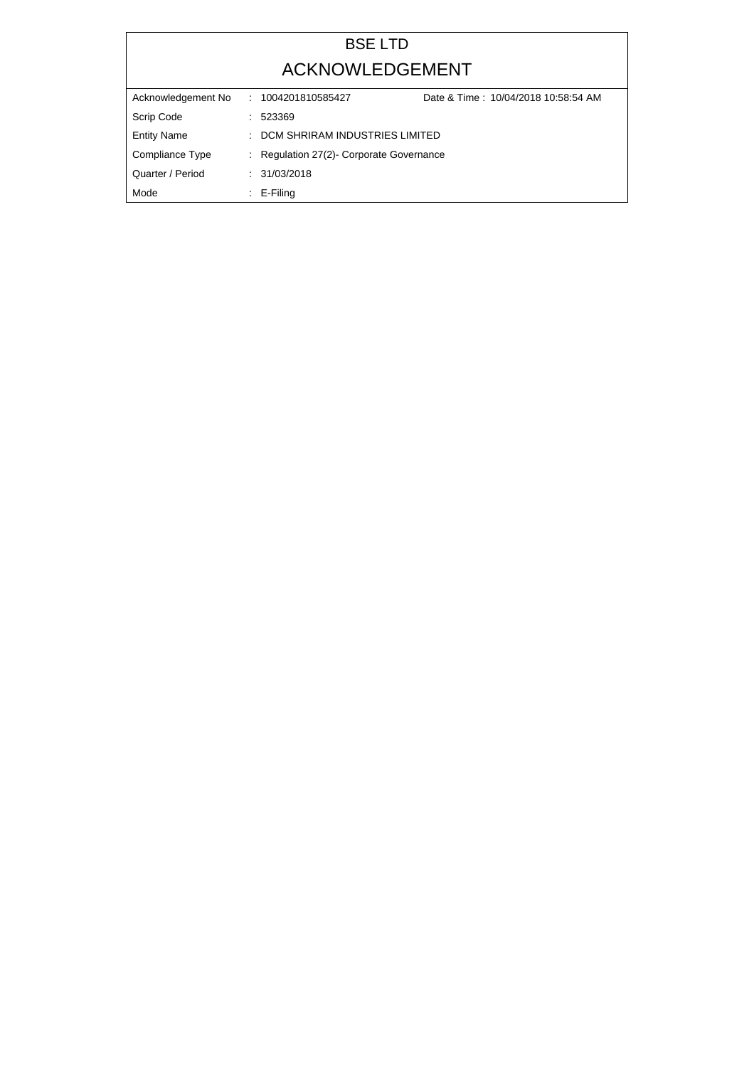## BSE LTD ACKNOWLEDGEMENT

| Acknowledgement No | Date & Time: 10/04/2018 10:58:54 AM<br>: 1004201810585427 |  |  |  |
|--------------------|-----------------------------------------------------------|--|--|--|
| Scrip Code         | : 523369                                                  |  |  |  |
| <b>Entity Name</b> | : DCM SHRIRAM INDUSTRIES LIMITED                          |  |  |  |
| Compliance Type    | : Regulation 27(2) Corporate Governance                   |  |  |  |
| Quarter / Period   | : 31/03/2018                                              |  |  |  |
| Mode               | $\therefore$ E-Filing                                     |  |  |  |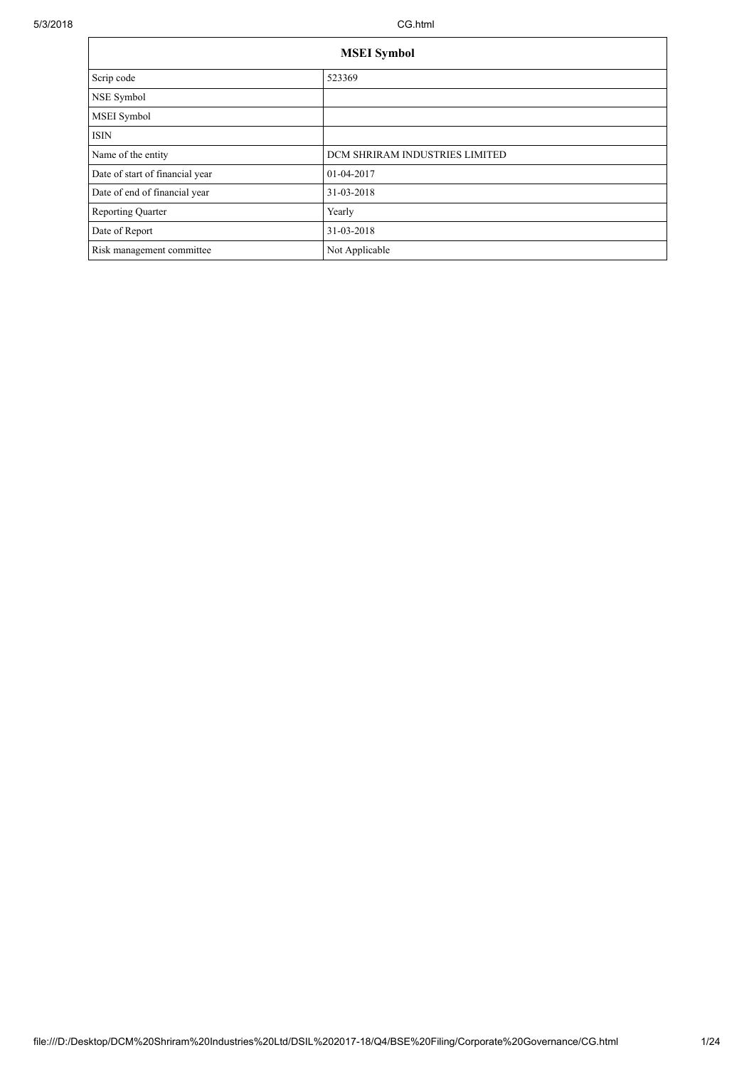| <b>MSEI</b> Symbol              |                                |  |  |  |
|---------------------------------|--------------------------------|--|--|--|
| Scrip code                      | 523369                         |  |  |  |
| NSE Symbol                      |                                |  |  |  |
| MSEI Symbol                     |                                |  |  |  |
| <b>ISIN</b>                     |                                |  |  |  |
| Name of the entity              | DCM SHRIRAM INDUSTRIES LIMITED |  |  |  |
| Date of start of financial year | 01-04-2017                     |  |  |  |
| Date of end of financial year   | 31-03-2018                     |  |  |  |
| <b>Reporting Quarter</b>        | Yearly                         |  |  |  |
| Date of Report                  | 31-03-2018                     |  |  |  |
| Risk management committee       | Not Applicable                 |  |  |  |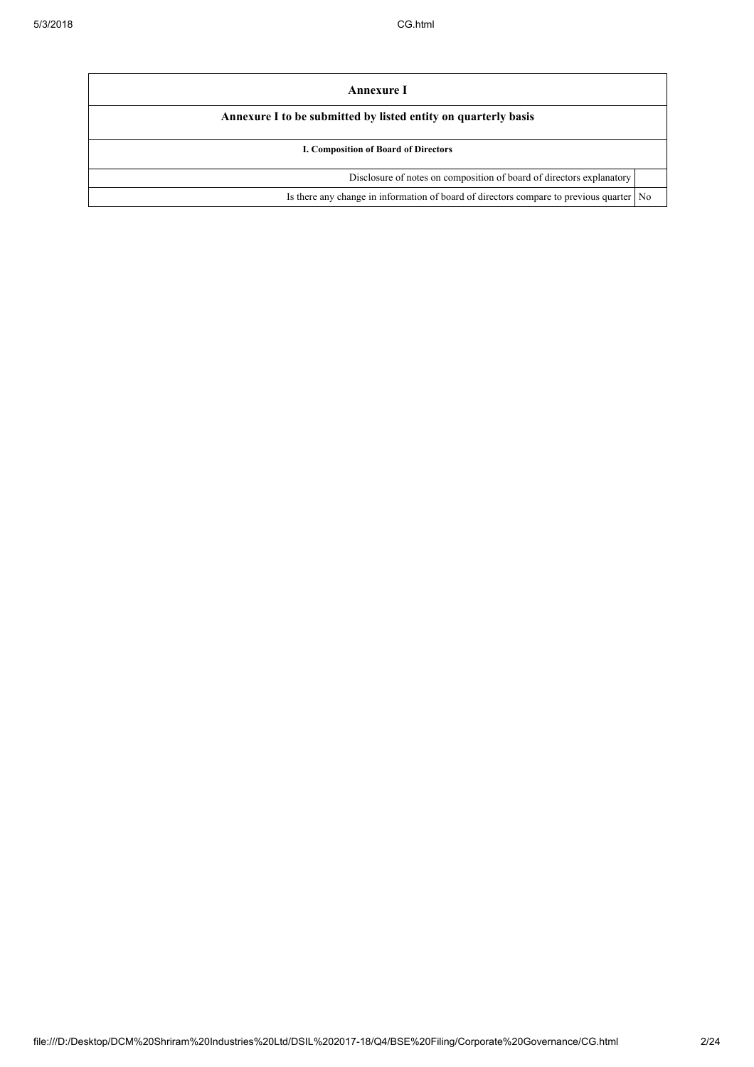| Annexure I                                                                              |  |
|-----------------------------------------------------------------------------------------|--|
| Annexure I to be submitted by listed entity on quarterly basis                          |  |
| I. Composition of Board of Directors                                                    |  |
| Disclosure of notes on composition of board of directors explanatory                    |  |
| Is there any change in information of board of directors compare to previous quarter No |  |
|                                                                                         |  |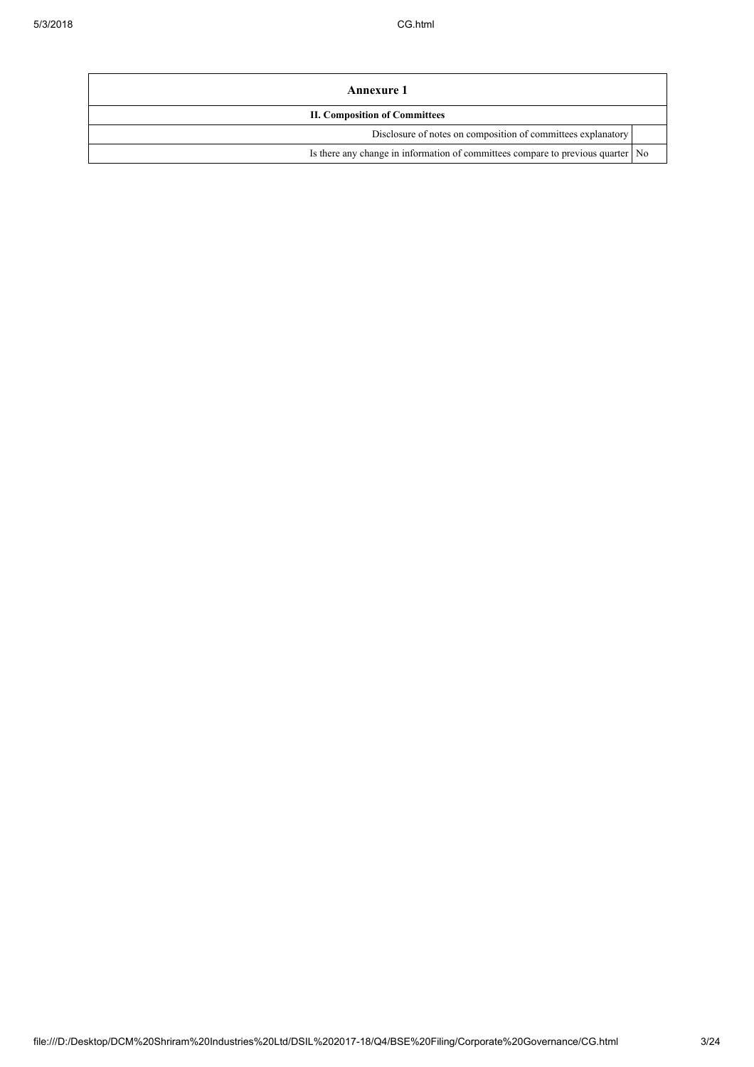| Annexure 1                                                                        |  |  |  |
|-----------------------------------------------------------------------------------|--|--|--|
| <b>II. Composition of Committees</b>                                              |  |  |  |
| Disclosure of notes on composition of committees explanatory                      |  |  |  |
| Is there any change in information of committees compare to previous quarter   No |  |  |  |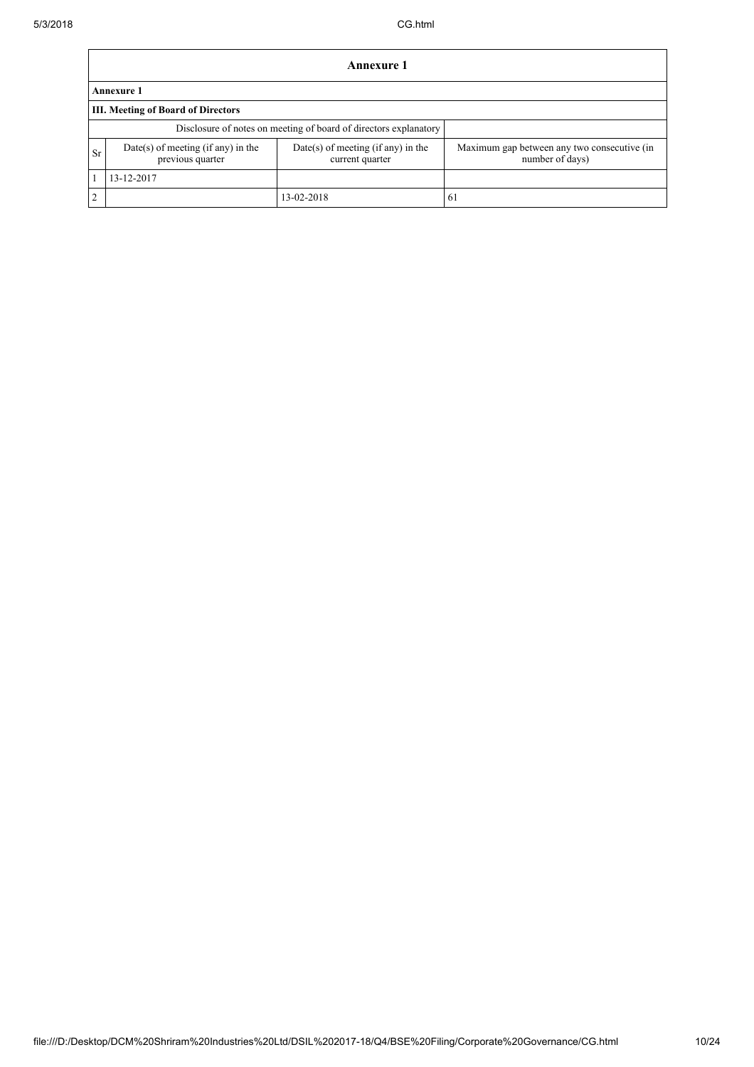|                                                                                                                         | <b>Annexure 1</b>                                                |                                                                |     |  |  |  |  |
|-------------------------------------------------------------------------------------------------------------------------|------------------------------------------------------------------|----------------------------------------------------------------|-----|--|--|--|--|
|                                                                                                                         | <b>Annexure 1</b>                                                |                                                                |     |  |  |  |  |
|                                                                                                                         | <b>III.</b> Meeting of Board of Directors                        |                                                                |     |  |  |  |  |
|                                                                                                                         | Disclosure of notes on meeting of board of directors explanatory |                                                                |     |  |  |  |  |
| Date(s) of meeting (if any) in the<br>$Date(s)$ of meeting (if any) in the<br>Sr<br>previous quarter<br>current quarter |                                                                  | Maximum gap between any two consecutive (in<br>number of days) |     |  |  |  |  |
|                                                                                                                         | 13-12-2017                                                       |                                                                |     |  |  |  |  |
| $\overline{2}$                                                                                                          |                                                                  | 13-02-2018                                                     | -61 |  |  |  |  |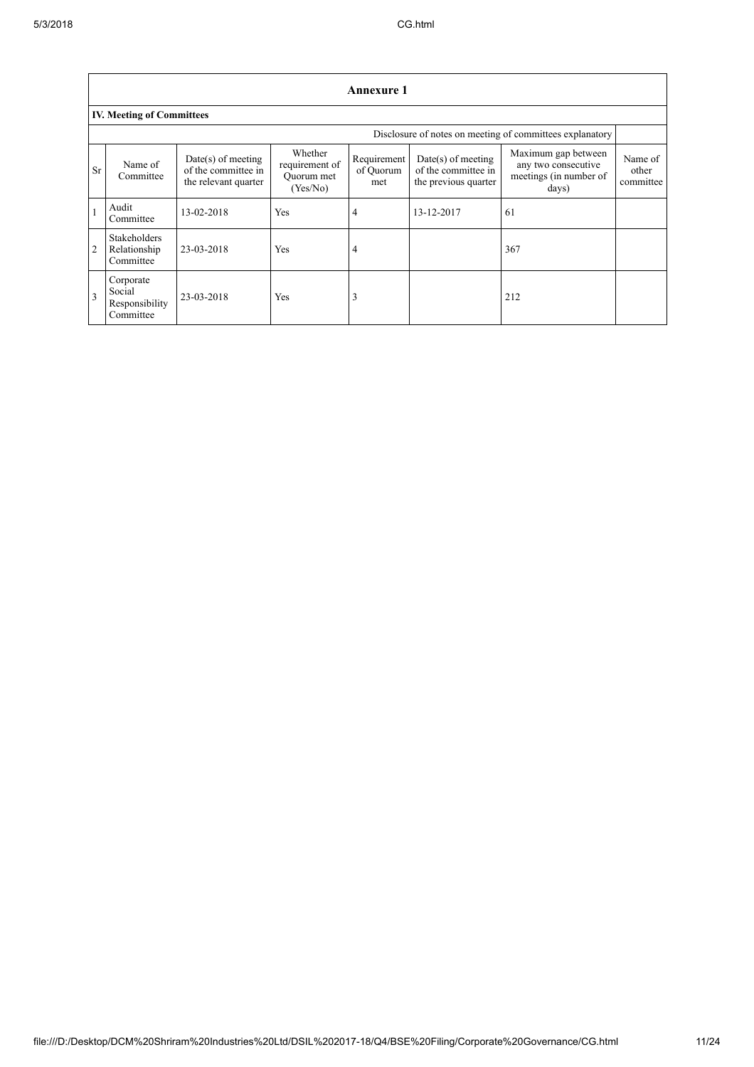|                | <b>Annexure 1</b>                                  |                                                                     |                                                     |                                 |                                                                     |                                                                               |                               |
|----------------|----------------------------------------------------|---------------------------------------------------------------------|-----------------------------------------------------|---------------------------------|---------------------------------------------------------------------|-------------------------------------------------------------------------------|-------------------------------|
|                | <b>IV. Meeting of Committees</b>                   |                                                                     |                                                     |                                 |                                                                     |                                                                               |                               |
|                |                                                    |                                                                     |                                                     |                                 |                                                                     | Disclosure of notes on meeting of committees explanatory                      |                               |
| <b>Sr</b>      | Name of<br>Committee                               | $Date(s)$ of meeting<br>of the committee in<br>the relevant quarter | Whether<br>requirement of<br>Quorum met<br>(Yes/No) | Requirement<br>of Quorum<br>met | $Date(s)$ of meeting<br>of the committee in<br>the previous quarter | Maximum gap between<br>any two consecutive<br>meetings (in number of<br>days) | Name of<br>other<br>committee |
|                | Audit<br>Committee                                 | 13-02-2018                                                          | Yes                                                 | 4                               | 13-12-2017                                                          | 61                                                                            |                               |
| $\overline{2}$ | <b>Stakeholders</b><br>Relationship<br>Committee   | 23-03-2018                                                          | Yes                                                 | 4                               |                                                                     | 367                                                                           |                               |
| $\overline{3}$ | Corporate<br>Social<br>Responsibility<br>Committee | 23-03-2018                                                          | Yes                                                 | 3                               |                                                                     | 212                                                                           |                               |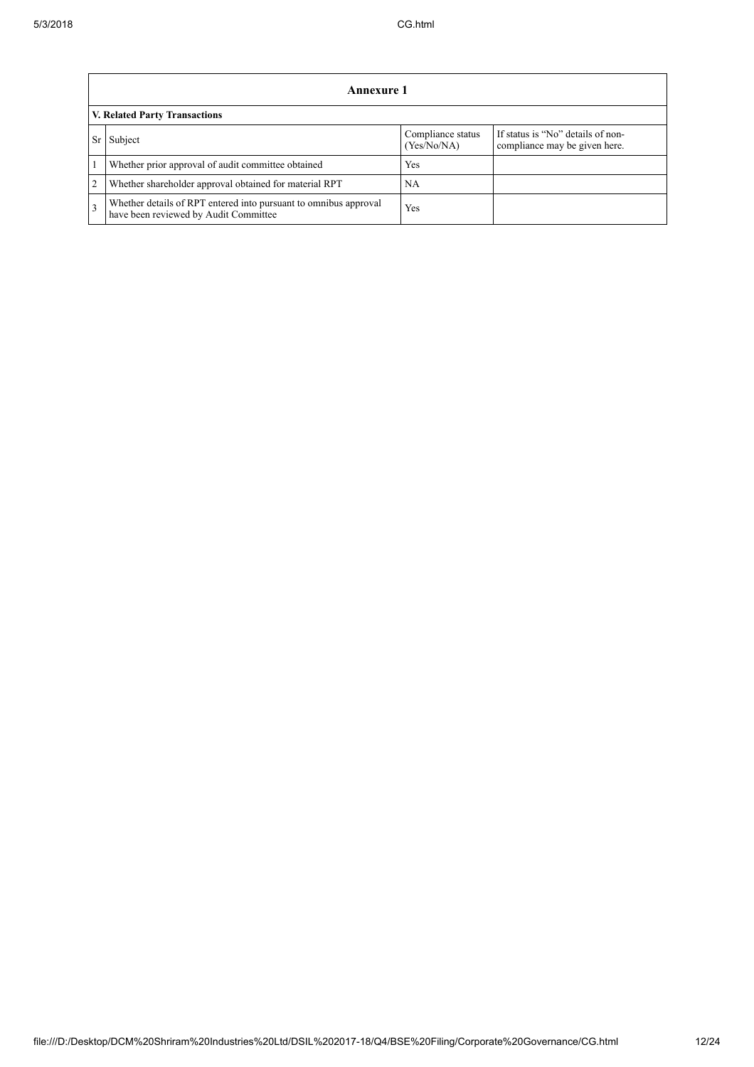|                | Annexure 1                                                                                                |                                  |                                                                    |  |  |  |
|----------------|-----------------------------------------------------------------------------------------------------------|----------------------------------|--------------------------------------------------------------------|--|--|--|
|                | V. Related Party Transactions                                                                             |                                  |                                                                    |  |  |  |
| Sr             | Subject                                                                                                   | Compliance status<br>(Yes/No/NA) | If status is "No" details of non-<br>compliance may be given here. |  |  |  |
|                | Whether prior approval of audit committee obtained                                                        | Yes                              |                                                                    |  |  |  |
| $\overline{2}$ | Whether shareholder approval obtained for material RPT                                                    | NA                               |                                                                    |  |  |  |
| $\overline{3}$ | Whether details of RPT entered into pursuant to omnibus approval<br>have been reviewed by Audit Committee | Yes                              |                                                                    |  |  |  |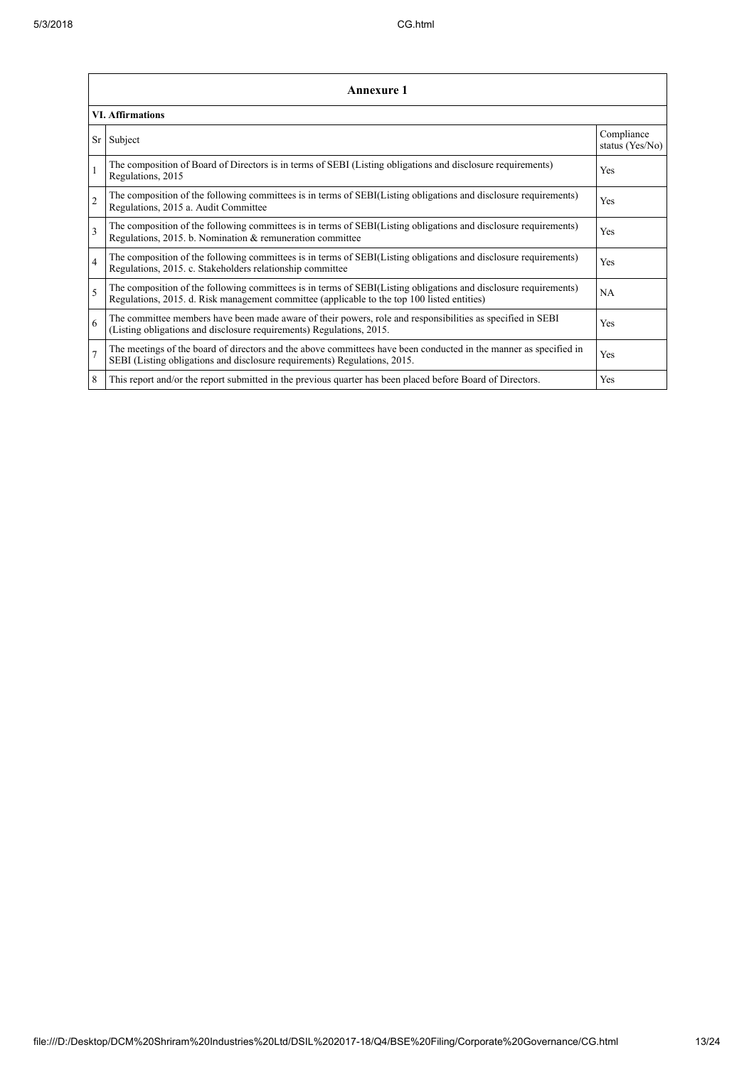|                          | Annexure 1                                                                                                                                                                                                      |                               |  |  |  |
|--------------------------|-----------------------------------------------------------------------------------------------------------------------------------------------------------------------------------------------------------------|-------------------------------|--|--|--|
|                          | <b>VI. Affirmations</b>                                                                                                                                                                                         |                               |  |  |  |
|                          | Sr Subject                                                                                                                                                                                                      | Compliance<br>status (Yes/No) |  |  |  |
|                          | The composition of Board of Directors is in terms of SEBI (Listing obligations and disclosure requirements)<br>Regulations, 2015                                                                                | Yes                           |  |  |  |
| $\overline{c}$           | The composition of the following committees is in terms of SEBI(Listing obligations and disclosure requirements)<br>Regulations, 2015 a. Audit Committee                                                        | Yes                           |  |  |  |
| $\overline{3}$           | The composition of the following committees is in terms of SEBI(Listing obligations and disclosure requirements)<br>Regulations, 2015. b. Nomination & remuneration committee                                   | Yes                           |  |  |  |
| $\overline{4}$           | The composition of the following committees is in terms of SEBI(Listing obligations and disclosure requirements)<br>Regulations, 2015. c. Stakeholders relationship committee                                   | Yes                           |  |  |  |
| $\overline{\phantom{0}}$ | The composition of the following committees is in terms of SEBI(Listing obligations and disclosure requirements)<br>Regulations, 2015. d. Risk management committee (applicable to the top 100 listed entities) | <b>NA</b>                     |  |  |  |
| 6                        | The committee members have been made aware of their powers, role and responsibilities as specified in SEBI<br>(Listing obligations and disclosure requirements) Regulations, 2015.                              | Yes                           |  |  |  |
| $\overline{7}$           | The meetings of the board of directors and the above committees have been conducted in the manner as specified in<br>SEBI (Listing obligations and disclosure requirements) Regulations, 2015.                  | Yes                           |  |  |  |
| 8                        | This report and/or the report submitted in the previous quarter has been placed before Board of Directors.                                                                                                      | Yes                           |  |  |  |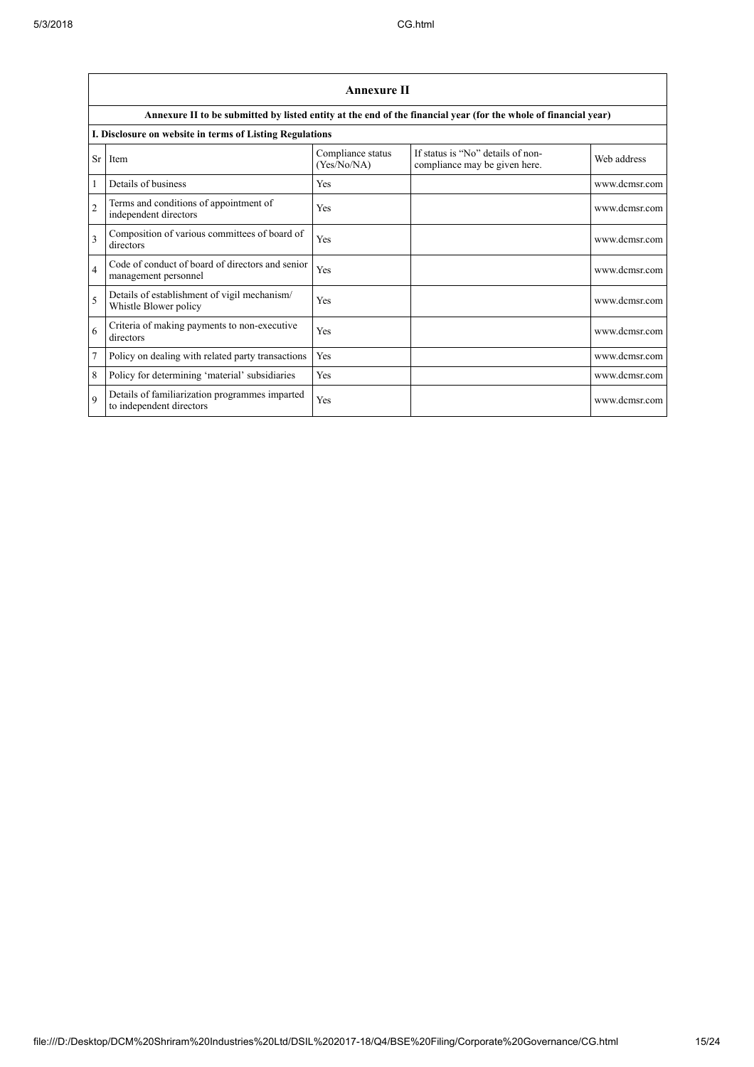|                | <b>Annexure II</b>                                                         |                                  |                                                                                                                 |               |  |  |
|----------------|----------------------------------------------------------------------------|----------------------------------|-----------------------------------------------------------------------------------------------------------------|---------------|--|--|
|                |                                                                            |                                  | Annexure II to be submitted by listed entity at the end of the financial year (for the whole of financial year) |               |  |  |
|                | I. Disclosure on website in terms of Listing Regulations                   |                                  |                                                                                                                 |               |  |  |
| Sr             | Item                                                                       | Compliance status<br>(Yes/No/NA) | If status is "No" details of non-<br>compliance may be given here.                                              | Web address   |  |  |
|                | Details of business                                                        | Yes                              |                                                                                                                 | www.dcmsr.com |  |  |
| $\overline{2}$ | Terms and conditions of appointment of<br>independent directors            | Yes                              |                                                                                                                 | www.dcmsr.com |  |  |
| 3              | Composition of various committees of board of<br>directors                 | Yes                              |                                                                                                                 | www.dcmsr.com |  |  |
| 4              | Code of conduct of board of directors and senior<br>management personnel   | Yes                              |                                                                                                                 | www.dcmsr.com |  |  |
| 5              | Details of establishment of vigil mechanism/<br>Whistle Blower policy      | Yes                              |                                                                                                                 | www.dcmsr.com |  |  |
| 6              | Criteria of making payments to non-executive<br>directors                  | Yes                              |                                                                                                                 | www.dcmsr.com |  |  |
| 7              | Policy on dealing with related party transactions                          | Yes                              |                                                                                                                 | www.dcmsr.com |  |  |
| 8              | Policy for determining 'material' subsidiaries                             | Yes                              |                                                                                                                 | www.dcmsr.com |  |  |
| $\mathbf Q$    | Details of familiarization programmes imparted<br>to independent directors | Yes                              |                                                                                                                 | www.dcmsr.com |  |  |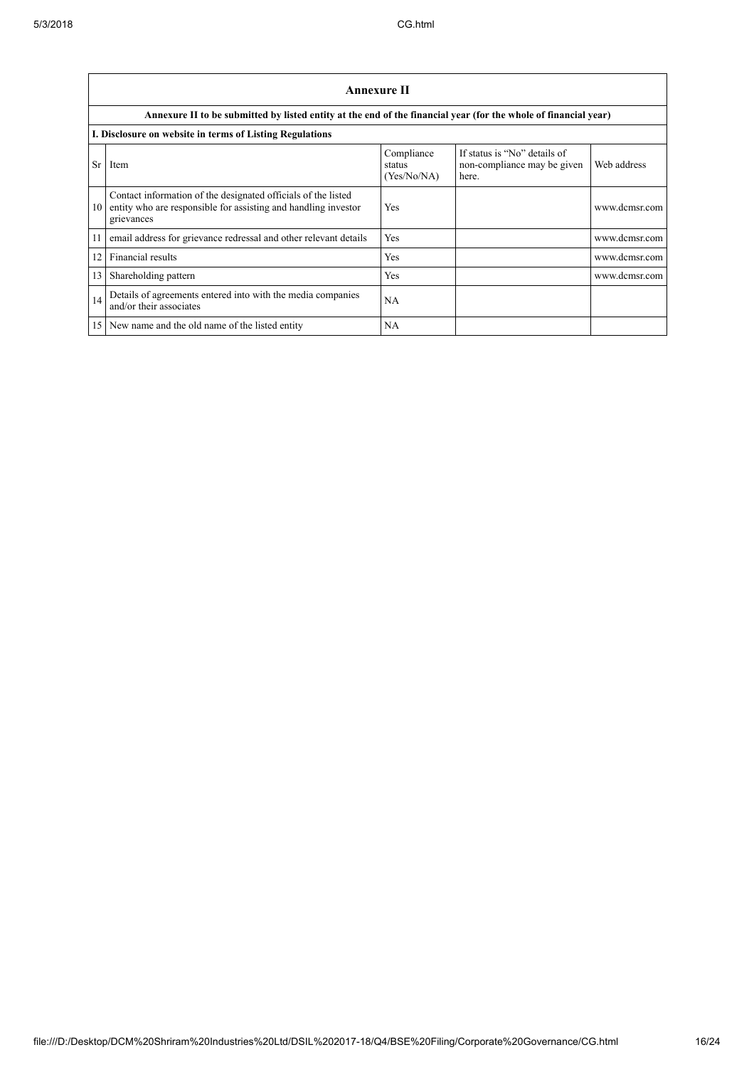|    | <b>Annexure II</b>                                                                                                                            |                                     |                                                                      |               |  |  |
|----|-----------------------------------------------------------------------------------------------------------------------------------------------|-------------------------------------|----------------------------------------------------------------------|---------------|--|--|
|    | Annexure II to be submitted by listed entity at the end of the financial year (for the whole of financial year)                               |                                     |                                                                      |               |  |  |
|    | I. Disclosure on website in terms of Listing Regulations                                                                                      |                                     |                                                                      |               |  |  |
| Sr | Item                                                                                                                                          | Compliance<br>status<br>(Yes/No/NA) | If status is "No" details of<br>non-compliance may be given<br>here. | Web address   |  |  |
| 10 | Contact information of the designated officials of the listed<br>entity who are responsible for assisting and handling investor<br>grievances | Yes                                 |                                                                      | www.dcmsr.com |  |  |
| 11 | email address for grievance redressal and other relevant details                                                                              | Yes                                 |                                                                      | www.dcmsr.com |  |  |
| 12 | Financial results                                                                                                                             | Yes                                 |                                                                      | www.dcmsr.com |  |  |
| 13 | Shareholding pattern                                                                                                                          | Yes                                 |                                                                      | www.dcmsr.com |  |  |
| 14 | Details of agreements entered into with the media companies<br>and/or their associates                                                        | NA                                  |                                                                      |               |  |  |
| 15 | New name and the old name of the listed entity                                                                                                | NA                                  |                                                                      |               |  |  |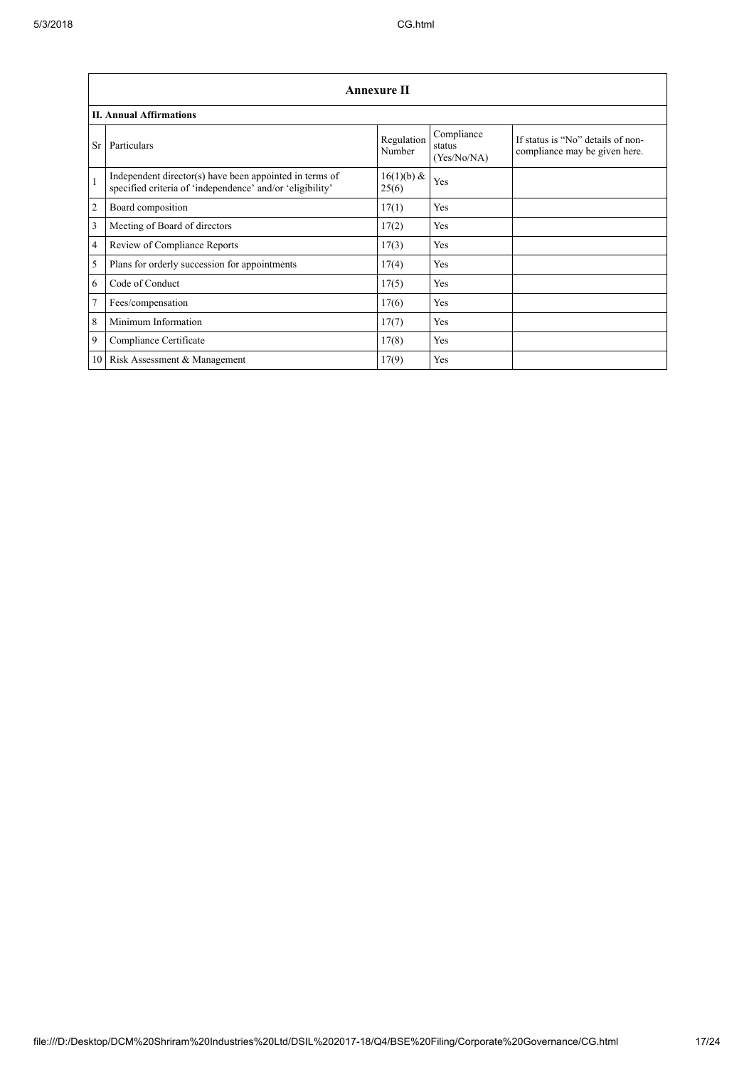|              | Annexure II                                                                                                          |                      |                                     |                                                                    |  |  |  |
|--------------|----------------------------------------------------------------------------------------------------------------------|----------------------|-------------------------------------|--------------------------------------------------------------------|--|--|--|
|              | <b>II. Annual Affirmations</b>                                                                                       |                      |                                     |                                                                    |  |  |  |
| Sr.          | Particulars                                                                                                          | Regulation<br>Number | Compliance<br>status<br>(Yes/No/NA) | If status is "No" details of non-<br>compliance may be given here. |  |  |  |
| $\mathbf{1}$ | Independent director(s) have been appointed in terms of<br>specified criteria of 'independence' and/or 'eligibility' | 16(1)(b) &<br>25(6)  | Yes                                 |                                                                    |  |  |  |
| 2            | Board composition                                                                                                    | 17(1)                | Yes                                 |                                                                    |  |  |  |
| 3            | Meeting of Board of directors                                                                                        | 17(2)                | Yes                                 |                                                                    |  |  |  |
| 4            | Review of Compliance Reports                                                                                         | 17(3)                | Yes                                 |                                                                    |  |  |  |
| 5            | Plans for orderly succession for appointments                                                                        | 17(4)                | Yes                                 |                                                                    |  |  |  |
| 6            | Code of Conduct                                                                                                      | 17(5)                | Yes                                 |                                                                    |  |  |  |
| $\tau$       | Fees/compensation                                                                                                    | 17(6)                | Yes                                 |                                                                    |  |  |  |
| 8            | Minimum Information                                                                                                  | 17(7)                | Yes                                 |                                                                    |  |  |  |
| 9            | Compliance Certificate                                                                                               | 17(8)                | Yes                                 |                                                                    |  |  |  |
|              | 10 Risk Assessment & Management                                                                                      | 17(9)                | Yes                                 |                                                                    |  |  |  |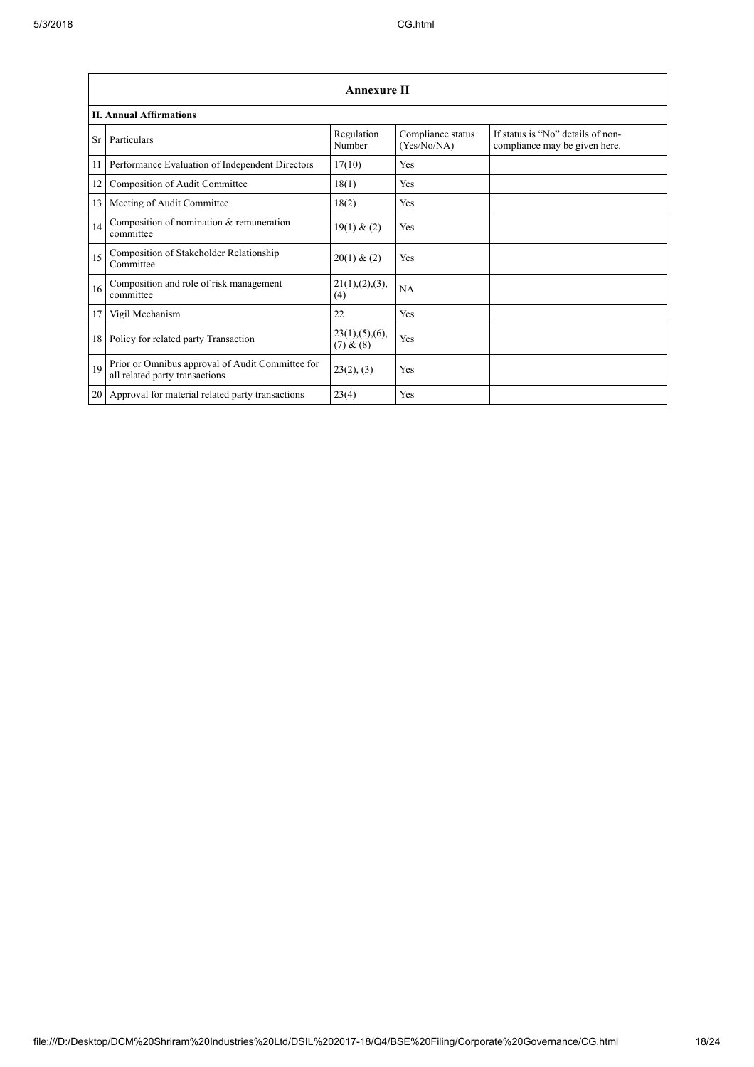|                 | <b>Annexure II</b>                                                                 |                               |                                  |                                                                    |  |  |  |
|-----------------|------------------------------------------------------------------------------------|-------------------------------|----------------------------------|--------------------------------------------------------------------|--|--|--|
|                 | <b>II. Annual Affirmations</b>                                                     |                               |                                  |                                                                    |  |  |  |
| Sr              | Particulars                                                                        | Regulation<br>Number          | Compliance status<br>(Yes/No/NA) | If status is "No" details of non-<br>compliance may be given here. |  |  |  |
| 11              | Performance Evaluation of Independent Directors                                    | 17(10)                        | Yes                              |                                                                    |  |  |  |
| 12              | Composition of Audit Committee                                                     | 18(1)                         | Yes                              |                                                                    |  |  |  |
| 13              | Meeting of Audit Committee                                                         | 18(2)                         | Yes                              |                                                                    |  |  |  |
| 14              | Composition of nomination & remuneration<br>committee                              | 19(1) & (2)                   | Yes                              |                                                                    |  |  |  |
| 15              | Composition of Stakeholder Relationship<br>Committee                               | 20(1) & (2)                   | Yes                              |                                                                    |  |  |  |
| 16              | Composition and role of risk management<br>committee                               | 21(1), (2), (3),<br>(4)       | NA                               |                                                                    |  |  |  |
| 17              | Vigil Mechanism                                                                    | 22                            | Yes                              |                                                                    |  |  |  |
| 18              | Policy for related party Transaction                                               | 23(1), (5), (6),<br>(7) & (8) | Yes                              |                                                                    |  |  |  |
| 19              | Prior or Omnibus approval of Audit Committee for<br>all related party transactions | 23(2), (3)                    | Yes                              |                                                                    |  |  |  |
| 20 <sub>1</sub> | Approval for material related party transactions                                   | 23(4)                         | Yes                              |                                                                    |  |  |  |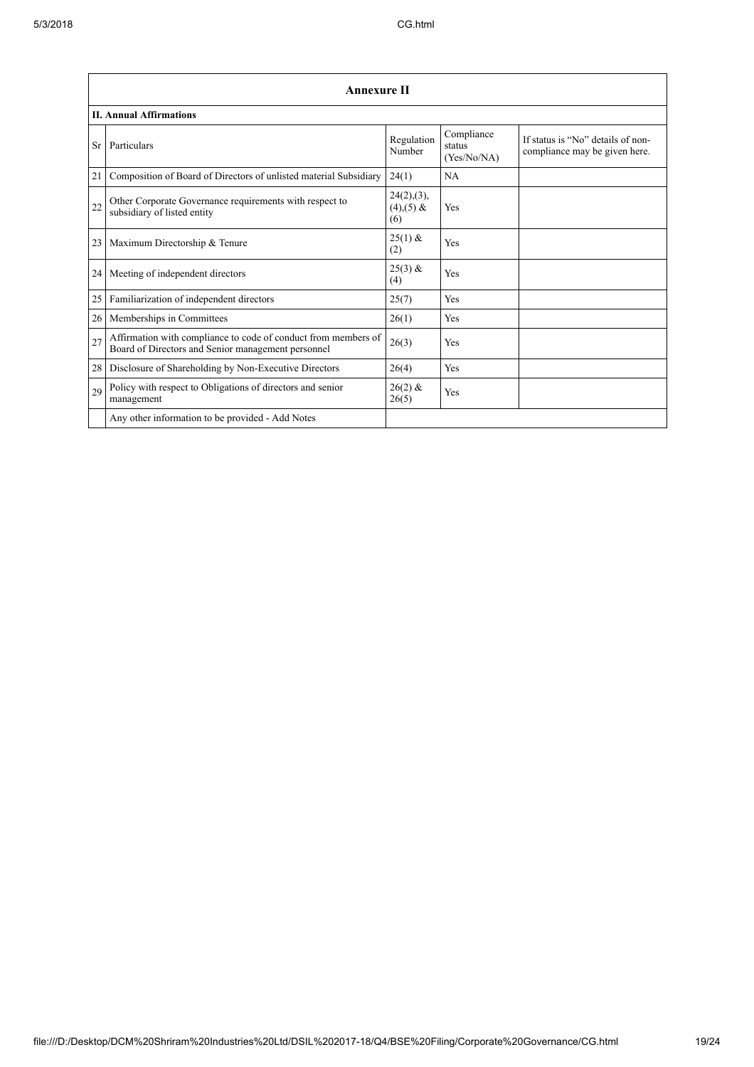| Annexure II<br><b>II. Annual Affirmations</b> |                                                                                                                      |                                      |     |  |  |  |
|-----------------------------------------------|----------------------------------------------------------------------------------------------------------------------|--------------------------------------|-----|--|--|--|
|                                               |                                                                                                                      |                                      |     |  |  |  |
| 21                                            | Composition of Board of Directors of unlisted material Subsidiary                                                    | 24(1)                                | NA  |  |  |  |
| 22                                            | Other Corporate Governance requirements with respect to<br>subsidiary of listed entity                               | 24(2),(3),<br>$(4)$ , $(5)$ &<br>(6) | Yes |  |  |  |
| 23                                            | Maximum Directorship & Tenure                                                                                        | $25(1)$ &<br>(2)                     | Yes |  |  |  |
| 24                                            | Meeting of independent directors                                                                                     | $25(3)$ &<br>(4)                     | Yes |  |  |  |
| 25                                            | Familiarization of independent directors                                                                             | 25(7)                                | Yes |  |  |  |
| 26                                            | Memberships in Committees                                                                                            | 26(1)                                | Yes |  |  |  |
| 27                                            | Affirmation with compliance to code of conduct from members of<br>Board of Directors and Senior management personnel | 26(3)                                | Yes |  |  |  |
| 28                                            | Disclosure of Shareholding by Non-Executive Directors                                                                | 26(4)                                | Yes |  |  |  |
| 29                                            | Policy with respect to Obligations of directors and senior<br>management                                             | $26(2)$ &<br>26(5)                   | Yes |  |  |  |
|                                               | Any other information to be provided - Add Notes                                                                     |                                      |     |  |  |  |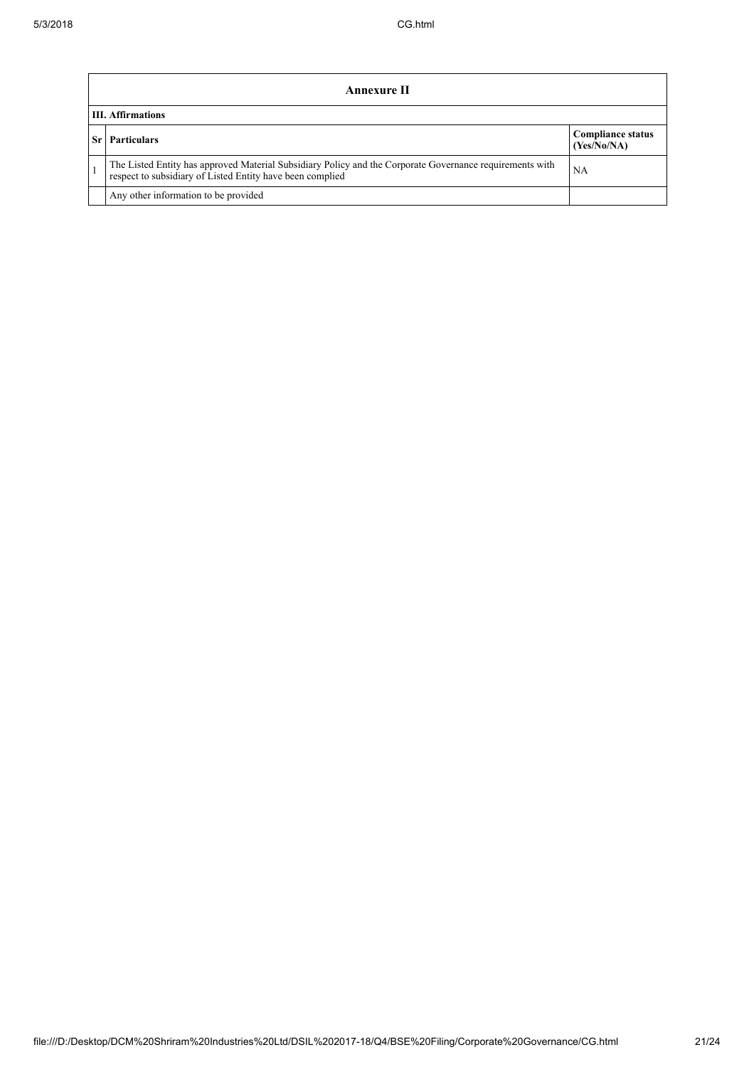| Annexure II              |                                                                                                                                                                       |                                         |  |  |
|--------------------------|-----------------------------------------------------------------------------------------------------------------------------------------------------------------------|-----------------------------------------|--|--|
| <b>III. Affirmations</b> |                                                                                                                                                                       |                                         |  |  |
|                          | <b>Particulars</b>                                                                                                                                                    | <b>Compliance status</b><br>(Yes/No/NA) |  |  |
|                          | The Listed Entity has approved Material Subsidiary Policy and the Corporate Governance requirements with<br>respect to subsidiary of Listed Entity have been complied | NA                                      |  |  |
|                          | Any other information to be provided                                                                                                                                  |                                         |  |  |